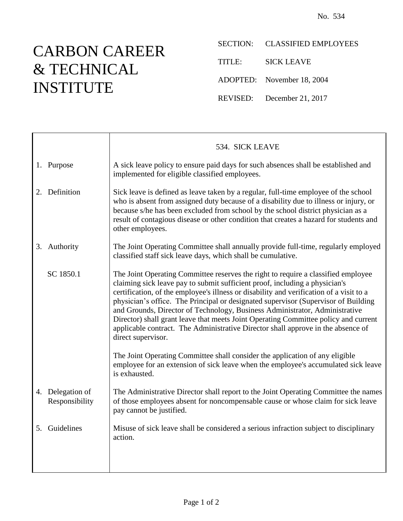## CARBON CAREER & TECHNICAL INSTITUTE

Τ

SECTION: CLASSIFIED EMPLOYEES TITLE: SICK LEAVE ADOPTED: November 18, 2004 REVISED: December 21, 2017

|                                    | 534. SICK LEAVE                                                                                                                                                                                                                                                                                                                                                                                                                                                                                                                                                                                                                   |
|------------------------------------|-----------------------------------------------------------------------------------------------------------------------------------------------------------------------------------------------------------------------------------------------------------------------------------------------------------------------------------------------------------------------------------------------------------------------------------------------------------------------------------------------------------------------------------------------------------------------------------------------------------------------------------|
| 1. Purpose                         | A sick leave policy to ensure paid days for such absences shall be established and<br>implemented for eligible classified employees.                                                                                                                                                                                                                                                                                                                                                                                                                                                                                              |
| 2. Definition                      | Sick leave is defined as leave taken by a regular, full-time employee of the school<br>who is absent from assigned duty because of a disability due to illness or injury, or<br>because s/he has been excluded from school by the school district physician as a<br>result of contagious disease or other condition that creates a hazard for students and<br>other employees.                                                                                                                                                                                                                                                    |
| 3. Authority                       | The Joint Operating Committee shall annually provide full-time, regularly employed<br>classified staff sick leave days, which shall be cumulative.                                                                                                                                                                                                                                                                                                                                                                                                                                                                                |
| SC 1850.1                          | The Joint Operating Committee reserves the right to require a classified employee<br>claiming sick leave pay to submit sufficient proof, including a physician's<br>certification, of the employee's illness or disability and verification of a visit to a<br>physician's office. The Principal or designated supervisor (Supervisor of Building<br>and Grounds, Director of Technology, Business Administrator, Administrative<br>Director) shall grant leave that meets Joint Operating Committee policy and current<br>applicable contract. The Administrative Director shall approve in the absence of<br>direct supervisor. |
|                                    | The Joint Operating Committee shall consider the application of any eligible<br>employee for an extension of sick leave when the employee's accumulated sick leave<br>is exhausted.                                                                                                                                                                                                                                                                                                                                                                                                                                               |
| 4. Delegation of<br>Responsibility | The Administrative Director shall report to the Joint Operating Committee the names<br>of those employees absent for noncompensable cause or whose claim for sick leave<br>pay cannot be justified.                                                                                                                                                                                                                                                                                                                                                                                                                               |
| 5. Guidelines                      | Misuse of sick leave shall be considered a serious infraction subject to disciplinary<br>action.                                                                                                                                                                                                                                                                                                                                                                                                                                                                                                                                  |
|                                    |                                                                                                                                                                                                                                                                                                                                                                                                                                                                                                                                                                                                                                   |